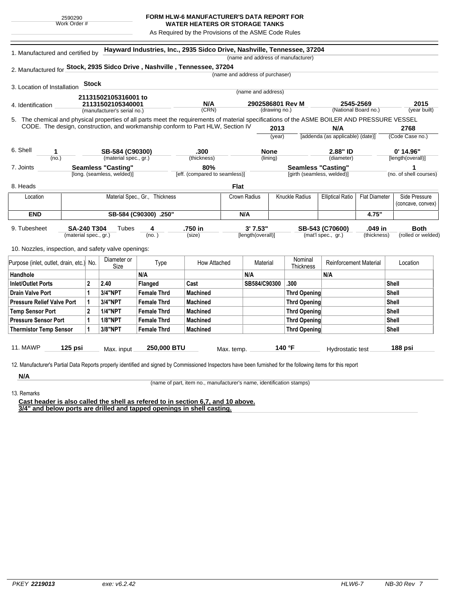## **FORM HLW-6 MANUFACTURER'S DATA REPORT FOR**

**WATER HEATERS OR STORAGE TANKS** As Required by the Provisions of the ASME Code Rules

|                                                                                                                                              | 1. Manufactured and certified by                        |                                                                          |                       | Hayward Industries, Inc., 2935 Sidco Drive, Nashville, Tennessee, 37204         |                               |                                 |                                   |        | (name and address of manufacturer) |                                   |                      |                        |
|----------------------------------------------------------------------------------------------------------------------------------------------|---------------------------------------------------------|--------------------------------------------------------------------------|-----------------------|---------------------------------------------------------------------------------|-------------------------------|---------------------------------|-----------------------------------|--------|------------------------------------|-----------------------------------|----------------------|------------------------|
|                                                                                                                                              |                                                         |                                                                          |                       |                                                                                 |                               |                                 |                                   |        |                                    |                                   |                      |                        |
| 2. Manufactured for Stock, 2935 Sidco Drive, Nashville, Tennessee, 37204                                                                     |                                                         |                                                                          |                       |                                                                                 |                               | (name and address of purchaser) |                                   |        |                                    |                                   |                      |                        |
|                                                                                                                                              |                                                         | <b>Stock</b>                                                             |                       |                                                                                 |                               |                                 |                                   |        |                                    |                                   |                      |                        |
| 3. Location of Installation                                                                                                                  |                                                         |                                                                          |                       |                                                                                 |                               |                                 | (name and address)                |        |                                    |                                   |                      |                        |
|                                                                                                                                              |                                                         | 21131502105316001 to<br>21131502105340001<br>(manufacturer's serial no.) |                       |                                                                                 |                               |                                 |                                   |        |                                    |                                   |                      |                        |
| 4. Identification                                                                                                                            |                                                         |                                                                          |                       |                                                                                 | N/A<br>(CRN)                  |                                 | 2902586801 Rev M<br>(drawing no.) |        |                                    | 2545-2569<br>(National Board no.) |                      | 2015<br>(year built)   |
| 5. The chemical and physical properties of all parts meet the requirements of material specifications of the ASME BOILER AND PRESSURE VESSEL |                                                         |                                                                          |                       |                                                                                 |                               |                                 |                                   |        |                                    |                                   |                      |                        |
|                                                                                                                                              |                                                         |                                                                          |                       | CODE. The design, construction, and workmanship conform to Part HLW, Section IV |                               |                                 |                                   | 2013   |                                    | N/A                               |                      | 2768                   |
|                                                                                                                                              |                                                         |                                                                          |                       |                                                                                 |                               |                                 |                                   | (year) |                                    | [addenda (as applicable) (date)]  |                      | (Code Case no.)        |
|                                                                                                                                              |                                                         |                                                                          |                       |                                                                                 |                               |                                 |                                   |        |                                    |                                   |                      |                        |
| 6. Shell<br>1<br>(no.)                                                                                                                       |                                                         |                                                                          | SB-584 (C90300)       |                                                                                 | .300                          |                                 | <b>None</b><br>(lining)           |        | 2.88" ID                           |                                   |                      | $0'$ 14.96"            |
|                                                                                                                                              |                                                         |                                                                          | (material spec., gr.) |                                                                                 | (thickness)                   |                                 |                                   |        |                                    | (diameter)                        |                      | [length(overall)]      |
| 7. Joints                                                                                                                                    | <b>Seamless "Casting"</b><br>[long. (seamless, welded)] |                                                                          |                       | 80%                                                                             |                               |                                 |                                   |        | <b>Seamless "Casting"</b>          |                                   |                      |                        |
|                                                                                                                                              |                                                         |                                                                          |                       |                                                                                 | [eff. (compared to seamless)] |                                 |                                   |        | [girth (seamless, welded)]         |                                   |                      | (no. of shell courses) |
| 8. Heads                                                                                                                                     |                                                         |                                                                          |                       |                                                                                 |                               | <b>Flat</b>                     |                                   |        |                                    |                                   |                      |                        |
| Location                                                                                                                                     |                                                         |                                                                          |                       | Material Spec., Gr., Thickness                                                  |                               | Crown Radius                    |                                   |        | Knuckle Radius                     | <b>Elliptical Ratio</b>           | <b>Flat Diameter</b> | Side Pressure          |
|                                                                                                                                              |                                                         |                                                                          |                       |                                                                                 |                               |                                 |                                   |        |                                    |                                   |                      | (concave, convex)      |
| <b>END</b>                                                                                                                                   |                                                         |                                                                          | SB-584 (C90300) .250" | N/A                                                                             |                               |                                 |                                   |        | 4.75"                              |                                   |                      |                        |
| 9. Tubesheet                                                                                                                                 | <b>SA-240 T304</b>                                      |                                                                          | Tubes                 | 4                                                                               | .750 in                       |                                 | 3'7.53"                           |        |                                    | SB-543 (C70600)                   | .049 in              | <b>Both</b>            |
|                                                                                                                                              | (material spec., gr.)                                   |                                                                          |                       | (no.)                                                                           | (size)                        |                                 | [length(overall)]                 |        |                                    | (mat'l spec., gr.)                | (thickness)          | (rolled or welded)     |
|                                                                                                                                              |                                                         |                                                                          |                       |                                                                                 |                               |                                 |                                   |        |                                    |                                   |                      |                        |
| 10. Nozzles, inspection, and safety valve openings:                                                                                          |                                                         |                                                                          |                       |                                                                                 |                               |                                 |                                   |        |                                    |                                   |                      |                        |
| Purpose (inlet, outlet, drain, etc.) No.                                                                                                     |                                                         |                                                                          | Diameter or<br>Size   | Type                                                                            | How Attached                  |                                 | Material                          |        | Nominal<br>Thickness               | Reinforcement Material            |                      | Location               |
| Handhole                                                                                                                                     |                                                         |                                                                          |                       | N/A                                                                             |                               |                                 | N/A                               |        |                                    | N/A                               |                      |                        |
| Inlet/Outlet Ports                                                                                                                           |                                                         | $\mathbf{2}$                                                             | 2.40                  | Flanged                                                                         | Cast                          |                                 | SB584/C90300                      |        | .300                               |                                   |                      | Shell                  |
| <b>Drain Valve Port</b>                                                                                                                      |                                                         | 1                                                                        | <b>3/4"NPT</b>        | <b>Female Thrd</b>                                                              | <b>Machined</b>               |                                 |                                   |        | <b>Thrd Opening</b>                |                                   |                      | Shell                  |
| <b>Pressure Relief Valve Port</b>                                                                                                            |                                                         | 1                                                                        | <b>3/4"NPT</b>        | <b>Female Thrd</b>                                                              | <b>Machined</b>               |                                 |                                   |        | <b>Thrd Opening</b>                |                                   |                      | Shell                  |
| <b>Temp Sensor Port</b>                                                                                                                      |                                                         | $\mathbf{2}$                                                             | <b>1/4"NPT</b>        | <b>Female Thrd</b>                                                              | <b>Machined</b>               |                                 |                                   |        | <b>Thrd Opening</b>                |                                   |                      | <b>Shell</b>           |
|                                                                                                                                              | <b>Pressure Sensor Port</b>                             |                                                                          | <b>1/8"NPT</b>        | <b>Female Thrd</b>                                                              | <b>Machined</b>               |                                 |                                   |        | <b>Thrd Opening</b>                |                                   |                      | Shell                  |
|                                                                                                                                              |                                                         | 1                                                                        | 3/8"NPT               | <b>Female Thrd</b>                                                              | <b>Machined</b>               |                                 |                                   |        | <b>Thrd Opening</b>                |                                   |                      | <b>Shell</b>           |
|                                                                                                                                              |                                                         |                                                                          |                       |                                                                                 |                               |                                 |                                   |        |                                    |                                   |                      |                        |
| <b>Thermistor Temp Sensor</b>                                                                                                                |                                                         |                                                                          |                       |                                                                                 |                               |                                 |                                   |        |                                    |                                   |                      |                        |

13. Remarks

**N/A**

(name of part, item no., manufacturer's name, identification stamps)

**Cast header is also called the shell as refered to in section 6,7, and 10 above. 3/4" and below ports are drilled and tapped openings in shell casting.**